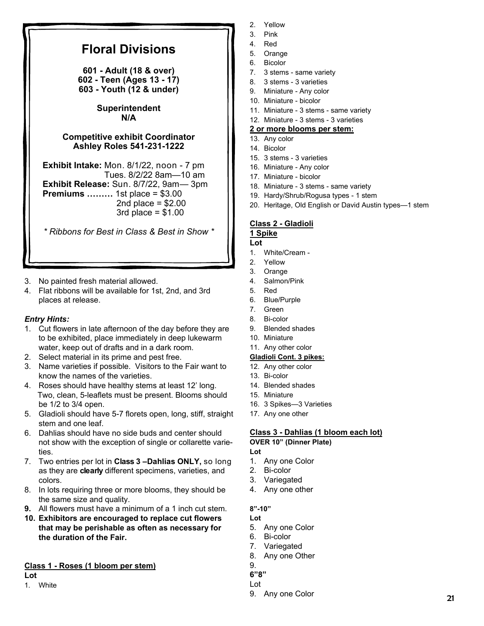# **Floral Divisions**

**601 - Adult (18 & over) 602 - Teen (Ages 13 - 17) 603 - Youth (12 & under)** 

### **Superintendent N/A**

## **Competitive exhibit Coordinator Ashley Roles 541-231-1222**

**Exhibit Intake:** Mon. 8/1/22, noon - 7 pm Tues. 8/2/22 8am—10 am **Exhibit Release:** Sun. 8/7/22, 9am— 3pm **Premiums ………** 1st place = \$3.00 2nd place  $= $2.00$  $3rd$  place =  $$1.00$ 

*\* Ribbons for Best in Class & Best in Show \** 

- 3. No painted fresh material allowed.
- 4. Flat ribbons will be available for 1st, 2nd, and 3rd places at release.

# *Entry Hints:*

- 1. Cut flowers in late afternoon of the day before they are to be exhibited, place immediately in deep lukewarm water, keep out of drafts and in a dark room.
- 2. Select material in its prime and pest free.
- 3. Name varieties if possible. Visitors to the Fair want to know the names of the varieties.
- 4. Roses should have healthy stems at least 12' long. Two, clean, 5-leaflets must be present. Blooms should be 1/2 to 3/4 open.
- 5. Gladioli should have 5-7 florets open, long, stiff, straight stem and one leaf.
- 6. Dahlias should have no side buds and center should not show with the exception of single or collarette varieties.
- 7. Two entries per lot in **Class 3 –Dahlias ONLY,** so long as they are **clearly** different specimens, varieties, and colors.
- 8. In lots requiring three or more blooms, they should be the same size and quality.
- **9.** All flowers must have a minimum of a 1 inch cut stem.
- **10. Exhibitors are encouraged to replace cut flowers that may be perishable as often as necessary for the duration of the Fair.**

# **Class 1 - Roses (1 bloom per stem)**

**Lot**

1. White

- 2. Yellow
- 3. Pink
- 4. Red
- 5. Orange
- 6. Bicolor
- 7. 3 stems same variety
- 8. 3 stems 3 varieties
- 9. Miniature Any color
- 10. Miniature bicolor
- 11. Miniature 3 stems same variety
- 12. Miniature 3 stems 3 varieties

### **2 or more blooms per stem:**

- 13. Any color
- 14. Bicolor
- 15. 3 stems 3 varieties
- 16. Miniature Any color
- 17. Miniature bicolor
- 18. Miniature 3 stems same variety
- 19. Hardy/Shrub/Rogusa types 1 stem
- 20. Heritage, Old English or David Austin types—1 stem

# **Class 2 - Gladioli**

#### **1 Spike Lot**

- 1. White/Cream -
- 2. Yellow
- 3. Orange
- 4. Salmon/Pink
- 5. Red
- 6. Blue/Purple
- 7. Green
- 8. Bi-color
- 9. Blended shades
- 10. Miniature
- 11. Any other color

# **Gladioli Cont. 3 pikes:**

- 12. Any other color
- 13. Bi-color
- 14. Blended shades
- 15. Miniature
- 16. 3 Spikes—3 Varieties
- 17. Any one other

### **Class 3 - Dahlias (1 bloom each lot) OVER 10" (Dinner Plate)**

# **Lot**

- 1. Any one Color
- 2. Bi-color
- 3. Variegated
- 4. Any one other

# **8"-10"**

- **Lot**
- 5. Any one Color
- 6. Bi-color
- 7. Variegated
- 8. Any one Other
- 9.
- **6"8"**  Lot
- 9. Any one Color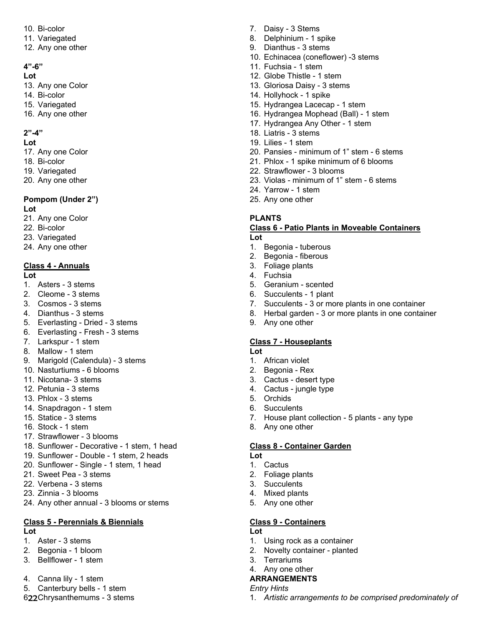- 10. Bi-color
- 11. Variegated
- 12. Any one other

## **4"-6"**

### **Lot**

- 13. Any one Color
- 14. Bi-color
- 15. Variegated
- 16. Any one other

# **2"-4"**

### **Lot**

- 17. Any one Color
- 18. Bi-color
- 19. Variegated
- 20. Any one other

#### **Pompom (Under 2") Lot**

- 21. Any one Color
- 22. Bi-color
- 23. Variegated
- 24. Any one other

# **Class 4 - Annuals**

### **Lot**

- 1. Asters 3 stems
- 2. Cleome 3 stems
- 3. Cosmos 3 stems
- 4. Dianthus 3 stems
- 5. Everlasting Dried 3 stems
- 6. Everlasting Fresh 3 stems
- 7. Larkspur 1 stem
- 8. Mallow 1 stem
- 9. Marigold (Calendula) 3 stems
- 10. Nasturtiums 6 blooms
- 11. Nicotana- 3 stems
- 12. Petunia 3 stems
- 13. Phlox 3 stems
- 14. Snapdragon 1 stem
- 15. Statice 3 stems
- 16. Stock 1 stem
- 17. Strawflower 3 blooms
- 18. Sunflower Decorative 1 stem, 1 head
- 19. Sunflower Double 1 stem, 2 heads
- 20. Sunflower Single 1 stem, 1 head
- 21. Sweet Pea 3 stems
- 22. Verbena 3 stems
- 23. Zinnia 3 blooms
- 24. Any other annual 3 blooms or stems

# **Class 5 - Perennials & Biennials**

# **Lot**

- 1. Aster 3 stems
- 2. Begonia 1 bloom
- 3. Bellflower 1 stem
- 4. Canna lily 1 stem
- 5. Canterbury bells 1 stem
- 622 Chrysanthemums 3 stems
- 7. Daisy 3 Stems
- 8. Delphinium 1 spike
- 9. Dianthus 3 stems
- 10. Echinacea (coneflower) -3 stems
- 11. Fuchsia 1 stem
- 12. Globe Thistle 1 stem
- 13. Gloriosa Daisy 3 stems
- 14. Hollyhock 1 spike
- 15. Hydrangea Lacecap 1 stem
- 16. Hydrangea Mophead (Ball) 1 stem
- 17. Hydrangea Any Other 1 stem
- 18. Liatris 3 stems
- 19. Lilies 1 stem
- 20. Pansies minimum of 1" stem 6 stems
- 21. Phlox 1 spike minimum of 6 blooms
- 22. Strawflower 3 blooms
- 23. Violas minimum of 1" stem 6 stems
- 24. Yarrow 1 stem
- 25. Any one other

### **PLANTS**

### **Class 6 - Patio Plants in Moveable Containers Lot**

- 1. Begonia tuberous
- 2. Begonia fiberous
- 3. Foliage plants
- 4. Fuchsia
- 5. Geranium scented
- 6. Succulents 1 plant
- 7. Succulents 3 or more plants in one container
- 8. Herbal garden 3 or more plants in one container
- 9. Any one other

# **Class 7 - Houseplants**

# **Lot**

- 1. African violet
- 2. Begonia Rex
- 3. Cactus desert type
- 4. Cactus jungle type
- 5. Orchids
- 6. Succulents
- 7. House plant collection 5 plants any type

1. *Artistic arrangements to be comprised predominately of* 

8. Any one other

### **Class 8 - Container Garden**

**Lot** 

**Lot** 

- 1. Cactus 2. Foliage plants
- 3. Succulents
- 4. Mixed plants

3. Terrariums 4. Any one other **ARRANGEMENTS** 

*Entry Hints* 

5. Any one other

**Class 9 - Containers** 

1. Using rock as a container 2. Novelty container - planted